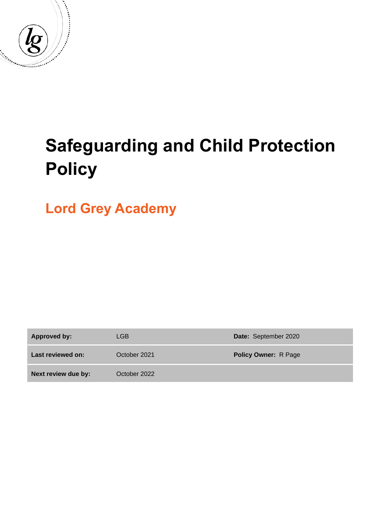

# **Safeguarding and Child Protection Policy**

**Lord Grey Academy**

**Approved by:** LGB **Date:** September 2020 **Last reviewed on:** October 2021 **Policy Owner:** R Page **Next review due by:** October 2022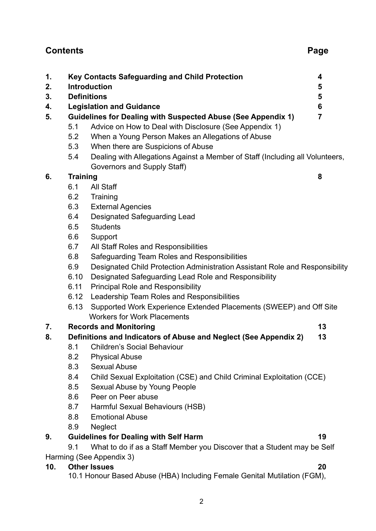# **Contents Page**

| 1.  |                                                                                                                     | Key Contacts Safeguarding and Child Protection                               | $\overline{\mathbf{4}}$ |  |  |  |
|-----|---------------------------------------------------------------------------------------------------------------------|------------------------------------------------------------------------------|-------------------------|--|--|--|
| 2.  |                                                                                                                     | <b>Introduction</b>                                                          | 5                       |  |  |  |
| 3.  |                                                                                                                     | <b>Definitions</b>                                                           | 5                       |  |  |  |
| 4.  |                                                                                                                     | <b>Legislation and Guidance</b>                                              | 6                       |  |  |  |
| 5.  | <b>Guidelines for Dealing with Suspected Abuse (See Appendix 1)</b>                                                 |                                                                              |                         |  |  |  |
|     | 5.1                                                                                                                 | Advice on How to Deal with Disclosure (See Appendix 1)                       |                         |  |  |  |
|     | 5.2                                                                                                                 | When a Young Person Makes an Allegations of Abuse                            |                         |  |  |  |
|     | 5.3                                                                                                                 | When there are Suspicions of Abuse                                           |                         |  |  |  |
|     | Dealing with Allegations Against a Member of Staff (Including all Volunteers,<br>5.4<br>Governors and Supply Staff) |                                                                              |                         |  |  |  |
| 6.  |                                                                                                                     | <b>Training</b><br>8                                                         |                         |  |  |  |
|     | 6.1                                                                                                                 | <b>All Staff</b>                                                             |                         |  |  |  |
|     | 6.2                                                                                                                 | Training                                                                     |                         |  |  |  |
|     | 6.3                                                                                                                 | <b>External Agencies</b>                                                     |                         |  |  |  |
|     | 6.4                                                                                                                 | <b>Designated Safeguarding Lead</b>                                          |                         |  |  |  |
|     | 6.5                                                                                                                 | <b>Students</b>                                                              |                         |  |  |  |
|     | 6.6                                                                                                                 | Support                                                                      |                         |  |  |  |
|     | 6.7                                                                                                                 | All Staff Roles and Responsibilities                                         |                         |  |  |  |
|     | 6.8                                                                                                                 | Safeguarding Team Roles and Responsibilities                                 |                         |  |  |  |
|     | 6.9                                                                                                                 | Designated Child Protection Administration Assistant Role and Responsibility |                         |  |  |  |
|     | 6.10                                                                                                                | Designated Safeguarding Lead Role and Responsibility                         |                         |  |  |  |
|     | 6.11                                                                                                                | <b>Principal Role and Responsibility</b>                                     |                         |  |  |  |
|     | 6.12                                                                                                                | Leadership Team Roles and Responsibilities                                   |                         |  |  |  |
|     | 6.13                                                                                                                | Supported Work Experience Extended Placements (SWEEP) and Off Site           |                         |  |  |  |
|     |                                                                                                                     | <b>Workers for Work Placements</b>                                           |                         |  |  |  |
| 7.  |                                                                                                                     | <b>Records and Monitoring</b>                                                | 13                      |  |  |  |
| 8.  |                                                                                                                     | Definitions and Indicators of Abuse and Neglect (See Appendix 2)             | 13                      |  |  |  |
|     | 8.1                                                                                                                 | <b>Children's Social Behaviour</b>                                           |                         |  |  |  |
|     | 8.2                                                                                                                 | <b>Physical Abuse</b>                                                        |                         |  |  |  |
|     | 8.3                                                                                                                 | <b>Sexual Abuse</b>                                                          |                         |  |  |  |
|     | 8.4                                                                                                                 | Child Sexual Exploitation (CSE) and Child Criminal Exploitation (CCE)        |                         |  |  |  |
|     | 8.5                                                                                                                 | Sexual Abuse by Young People                                                 |                         |  |  |  |
|     | 8.6                                                                                                                 | Peer on Peer abuse                                                           |                         |  |  |  |
|     | 8.7                                                                                                                 | Harmful Sexual Behaviours (HSB)                                              |                         |  |  |  |
|     | 8.8                                                                                                                 | <b>Emotional Abuse</b>                                                       |                         |  |  |  |
|     | 8.9                                                                                                                 | <b>Neglect</b>                                                               |                         |  |  |  |
| 9.  |                                                                                                                     | <b>Guidelines for Dealing with Self Harm</b>                                 | 19                      |  |  |  |
|     | 9.1                                                                                                                 | What to do if as a Staff Member you Discover that a Student may be Self      |                         |  |  |  |
|     |                                                                                                                     | Harming (See Appendix 3)                                                     |                         |  |  |  |
| 10. |                                                                                                                     | <b>Other Issues</b>                                                          | 20                      |  |  |  |
|     |                                                                                                                     | 10.1 Honour Based Abuse (HBA) Including Female Genital Mutilation (FGM),     |                         |  |  |  |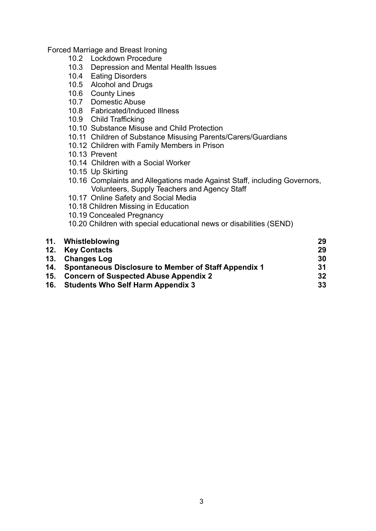Forced Marriage and Breast Ironing

- 10.2 Lockdown Procedure
- 10.3 Depression and Mental Health Issues
- 10.4 Eating Disorders
- 10.5 Alcohol and Drugs
- 10.6 County Lines
- 10.7 Domestic Abuse
- 10.8 Fabricated/Induced Illness
- 10.9 Child Trafficking
- 10.10 Substance Misuse and Child Protection
- 10.11 Children of Substance Misusing Parents/Carers/Guardians
- 10.12 Children with Family Members in Prison
- 10.13 Prevent
- 10.14 Children with a Social Worker
- 10.15 Up Skirting
- 10.16 Complaints and Allegations made Against Staff, including Governors, Volunteers, Supply Teachers and Agency Staff
- 10.17 Online Safety and Social Media
- 10.18 Children Missing in Education
- 10.19 Concealed Pregnancy
- 10.20 Children with special educational news or disabilities (SEND)

| 11. Whistleblowing                                       | 29 |
|----------------------------------------------------------|----|
| 12. Key Contacts                                         | 29 |
| 13. Changes Log                                          | 30 |
| 14. Spontaneous Disclosure to Member of Staff Appendix 1 | 31 |
| 15. Concern of Suspected Abuse Appendix 2                | 32 |
| 16. Students Who Self Harm Appendix 3                    | 33 |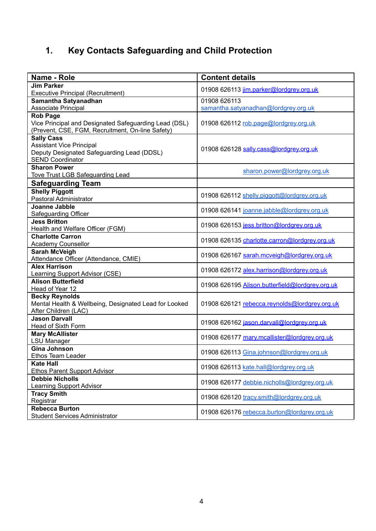# **1. Key Contacts Safeguarding and Child Protection**

| Name - Role                                                              | <b>Content details</b>                          |  |  |
|--------------------------------------------------------------------------|-------------------------------------------------|--|--|
| <b>Jim Parker</b>                                                        | 01908 626113 jim.parker@lordgrey.org.uk         |  |  |
| <b>Executive Principal (Recruitment)</b>                                 |                                                 |  |  |
| Samantha Satyanadhan                                                     | 01908 626113                                    |  |  |
| Associate Principal                                                      | samantha.satyanadhan@lordgrey.org.uk            |  |  |
| <b>Rob Page</b><br>Vice Principal and Designated Safeguarding Lead (DSL) | 01908 626112 rob.page@lordgrey.org.uk           |  |  |
| (Prevent, CSE, FGM, Recruitment, On-line Safety)                         |                                                 |  |  |
| <b>Sally Cass</b>                                                        |                                                 |  |  |
| <b>Assistant Vice Principal</b>                                          |                                                 |  |  |
| Deputy Designated Safeguarding Lead (DDSL)                               | 01908 626128 sally.cass@lordgrey.org.uk         |  |  |
| <b>SEND Coordinator</b>                                                  |                                                 |  |  |
| <b>Sharon Power</b>                                                      | sharon.power@lordgrey.org.uk                    |  |  |
| <b>Tove Trust LGB Safeguarding Lead</b>                                  |                                                 |  |  |
| <b>Safeguarding Team</b>                                                 |                                                 |  |  |
| <b>Shelly Piggott</b>                                                    | 01908 626112 shelly.piggott@lordgrey.org.uk     |  |  |
| Pastoral Administrator                                                   |                                                 |  |  |
| <b>Joanne Jabble</b>                                                     | 01908 626141 joanne.jabble@lordgrey.org.uk      |  |  |
| <b>Safeguarding Officer</b>                                              |                                                 |  |  |
| <b>Jess Britton</b>                                                      | 01908 626153 jess.britton@lordgrey.org.uk       |  |  |
| Health and Welfare Officer (FGM)                                         |                                                 |  |  |
| <b>Charlotte Carron</b><br><b>Academy Counsellor</b>                     | 01908 626135 charlotte.carron@lordgrey.org.uk   |  |  |
| <b>Sarah McVeigh</b>                                                     |                                                 |  |  |
| Attendance Officer (Attendance, CMIE)                                    | 01908 626167 sarah.mcveigh@lordgrey.org.uk      |  |  |
| <b>Alex Harrison</b>                                                     |                                                 |  |  |
| <b>Learning Support Advisor (CSE)</b>                                    | 01908 626172 alex.harrison@lordgrey.org.uk      |  |  |
| <b>Alison Butterfield</b>                                                | 01908 626195 Alison.butterfield@lordarev.org.uk |  |  |
| Head of Year 12                                                          |                                                 |  |  |
| <b>Becky Reynolds</b>                                                    |                                                 |  |  |
| Mental Health & Wellbeing, Designated Lead for Looked                    | 01908 626121 rebecca.reynolds@lordgrey.org.uk   |  |  |
| After Children (LAC)                                                     |                                                 |  |  |
| <b>Jason Darvall</b>                                                     | 01908 626162 jason.darvall@lordgrey.org.uk      |  |  |
| Head of Sixth Form<br><b>Mary McAllister</b>                             |                                                 |  |  |
| <b>LSU Manager</b>                                                       | 01908 626177 mary.mcallister@lordgrey.org.uk    |  |  |
| <b>Gina Johnson</b>                                                      |                                                 |  |  |
| Ethos Team Leader                                                        | 01908 626113 Gina.johnson@lordgrey.org.uk       |  |  |
| <b>Kate Hall</b>                                                         |                                                 |  |  |
| <b>Ethos Parent Support Advisor</b>                                      | 01908 626113 kate.hall@lordgrey.org.uk          |  |  |
| <b>Debbie Nicholls</b>                                                   | 01908 626177 debbie.nicholls@lordgrev.org.uk    |  |  |
| <b>Learning Support Advisor</b>                                          |                                                 |  |  |
| <b>Tracy Smith</b>                                                       | 01908 626120 tracy.smith@lordgrey.org.uk        |  |  |
| Registrar                                                                |                                                 |  |  |
| <b>Rebecca Burton</b>                                                    | 01908 626176 rebecca.burton@lordgrey.org.uk     |  |  |
| <b>Student Services Administrator</b>                                    |                                                 |  |  |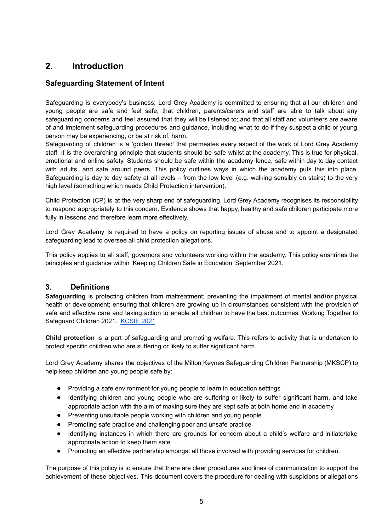# **2. Introduction**

# **Safeguarding Statement of Intent**

Safeguarding is everybody's business; Lord Grey Academy is committed to ensuring that all our children and young people are safe and feel safe; that children, parents/carers and staff are able to talk about any safeguarding concerns and feel assured that they will be listened to; and that all staff and volunteers are aware of and implement safeguarding procedures and guidance, including what to do if they suspect a child or young person may be experiencing, or be at risk of, harm.

Safeguarding of children is a 'golden thread' that permeates every aspect of the work of Lord Grey Academy staff; it is the overarching principle that students should be safe whilst at the academy. This is true for physical, emotional and online safety. Students should be safe within the academy fence, safe within day to day contact with adults, and safe around peers. This policy outlines ways in which the academy puts this into place. Safeguarding is day to day safety at all levels – from the low level (e.g. walking sensibly on stairs) to the very high level (something which needs Child Protection intervention).

Child Protection (CP) is at the very sharp end of safeguarding. Lord Grey Academy recognises its responsibility to respond appropriately to this concern. Evidence shows that happy, healthy and safe children participate more fully in lessons and therefore learn more effectively.

Lord Grey Academy is required to have a policy on reporting issues of abuse and to appoint a designated safeguarding lead to oversee all child protection allegations.

This policy applies to all staff, governors and volunteers working within the academy. This policy enshrines the principles and guidance within 'Keeping Children Safe in Education' September 2021.

# **3. Definitions**

**Safeguarding** is protecting children from maltreatment; preventing the impairment of mental **and/or** physical health or development; ensuring that children are growing up in circumstances consistent with the provision of safe and effective care and taking action to enable all children to have the best outcomes. Working Together to Safeguard Children 2021. [KCSIE](https://www.gov.uk/government/publications/keeping-children-safe-in-education--2) 2021

**Child protection** is a part of safeguarding and promoting welfare. This refers to activity that is undertaken to protect specific children who are suffering or likely to suffer significant harm.

Lord Grey Academy shares the objectives of the Milton Keynes Safeguarding Children Partnership (MKSCP) to help keep children and young people safe by:

- Providing a safe environment for young people to learn in education settings
- Identifying children and young people who are suffering or likely to suffer significant harm, and take appropriate action with the aim of making sure they are kept safe at both home and in academy
- Preventing unsuitable people working with children and young people
- Promoting safe practice and challenging poor and unsafe practice
- Identifying instances in which there are grounds for concern about a child's welfare and initiate/take appropriate action to keep them safe
- Promoting an effective partnership amongst all those involved with providing services for children.

The purpose of this policy is to ensure that there are clear procedures and lines of communication to support the achievement of these objectives. This document covers the procedure for dealing with suspicions or allegations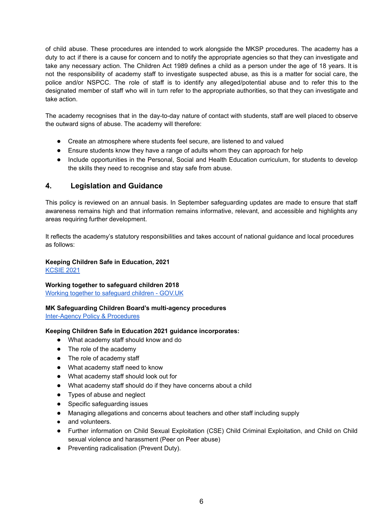of child abuse. These procedures are intended to work alongside the MKSP procedures. The academy has a duty to act if there is a cause for concern and to notify the appropriate agencies so that they can investigate and take any necessary action. The Children Act 1989 defines a child as a person under the age of 18 years. It is not the responsibility of academy staff to investigate suspected abuse, as this is a matter for social care, the police and/or NSPCC. The role of staff is to identify any alleged/potential abuse and to refer this to the designated member of staff who will in turn refer to the appropriate authorities, so that they can investigate and take action.

The academy recognises that in the day-to-day nature of contact with students, staff are well placed to observe the outward signs of abuse. The academy will therefore:

- Create an atmosphere where students feel secure, are listened to and valued
- Ensure students know they have a range of adults whom they can approach for help
- Include opportunities in the Personal, Social and Health Education curriculum, for students to develop the skills they need to recognise and stay safe from abuse.

#### **4. Legislation and Guidance**

This policy is reviewed on an annual basis. In September safeguarding updates are made to ensure that staff awareness remains high and that information remains informative, relevant, and accessible and highlights any areas requiring further development.

It reflects the academy's statutory responsibilities and takes account of national guidance and local procedures as follows:

#### **Keeping Children Safe in Education, 2021**

[KCSIE](https://www.gov.uk/government/publications/keeping-children-safe-in-education--2) 2021

#### **Working together to safeguard children 2018**

Working together to [safeguard](https://www.gov.uk/government/publications/working-together-to-safeguard-children--2) children - GOV.UK

#### **MK Safeguarding Children Board's multi-agency procedures**

[Inter-Agency](http://www.mkscb.org/policy-procedures/) Policy & Procedures

#### **Keeping Children Safe in Education 2021 guidance incorporates:**

- What academy staff should know and do
- The role of the academy
- The role of academy staff
- What academy staff need to know
- What academy staff should look out for
- What academy staff should do if they have concerns about a child
- Types of abuse and neglect
- Specific safequarding issues
- Managing allegations and concerns about teachers and other staff including supply
- and volunteers.
- Further information on Child Sexual Exploitation (CSE) Child Criminal Exploitation, and Child on Child sexual violence and harassment (Peer on Peer abuse)
- Preventing radicalisation (Prevent Duty).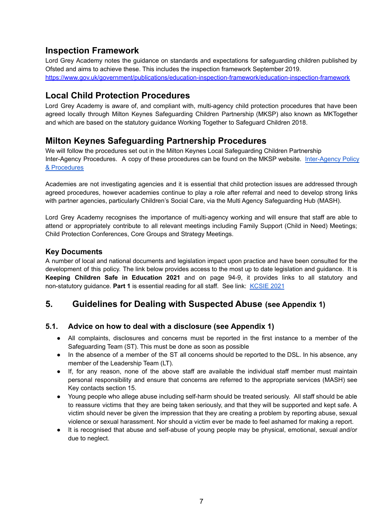# **Inspection Framework**

Lord Grey Academy notes the guidance on standards and expectations for safeguarding children published by Ofsted and aims to achieve these. This includes the inspection framework September 2019. <https://www.gov.uk/government/publications/education-inspection-framework/education-inspection-framework>

# **Local Child Protection Procedures**

Lord Grey Academy is aware of, and compliant with, multi-agency child protection procedures that have been agreed locally through Milton Keynes Safeguarding Children Partnership (MKSP) also known as MKTogether and which are based on the statutory guidance Working Together to Safeguard Children 2018.

# **Milton Keynes Safeguarding Partnership Procedures**

We will follow the procedures set out in the Milton Keynes Local Safeguarding Children Partnership Inter-Agency Procedures. A copy of these procedures can be found on the MKSP website. [Inter-Agency](http://www.mkscb.org/policy-procedures/) Policy & [Procedures](http://www.mkscb.org/policy-procedures/)

Academies are not investigating agencies and it is essential that child protection issues are addressed through agreed procedures, however academies continue to play a role after referral and need to develop strong links with partner agencies, particularly Children's Social Care, via the Multi Agency Safeguarding Hub (MASH).

Lord Grey Academy recognises the importance of multi-agency working and will ensure that staff are able to attend or appropriately contribute to all relevant meetings including Family Support (Child in Need) Meetings; Child Protection Conferences, Core Groups and Strategy Meetings.

# **Key Documents**

A number of local and national documents and legislation impact upon practice and have been consulted for the development of this policy. The link below provides access to the most up to date legislation and guidance. It is **Keeping Children Safe in Education 2021** and on page 94-9, it provides links to all statutory and non-statutory guidance. **Part 1** is essential reading for all staff. See link: [KCSIE](https://www.gov.uk/government/publications/keeping-children-safe-in-education--2) 2021

# **5. Guidelines for Dealing with Suspected Abuse (see Appendix 1)**

# **5.1. Advice on how to deal with a disclosure (see Appendix 1)**

- All complaints, disclosures and concerns must be reported in the first instance to a member of the Safeguarding Team (ST). This must be done as soon as possible
- In the absence of a member of the ST all concerns should be reported to the DSL. In his absence, any member of the Leadership Team (LT).
- If, for any reason, none of the above staff are available the individual staff member must maintain personal responsibility and ensure that concerns are referred to the appropriate services (MASH) see Key contacts section 15.
- Young people who allege abuse including self-harm should be treated seriously. All staff should be able to reassure victims that they are being taken seriously, and that they will be supported and kept safe. A victim should never be given the impression that they are creating a problem by reporting abuse, sexual violence or sexual harassment. Nor should a victim ever be made to feel ashamed for making a report.
- It is recognised that abuse and self-abuse of young people may be physical, emotional, sexual and/or due to neglect.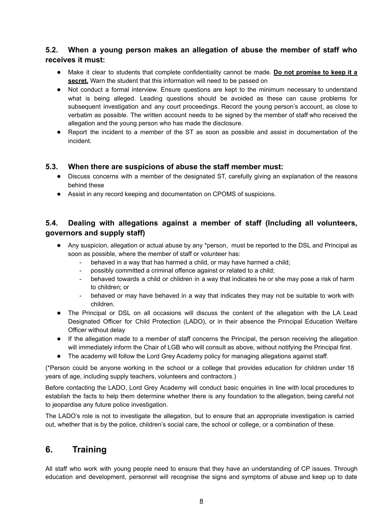# **5.2. When a young person makes an allegation of abuse the member of staff who receives it must:**

- Make it clear to students that complete confidentiality cannot be made. **Do not promise to keep it a secret.** Warn the student that this information will need to be passed on
- Not conduct a formal interview. Ensure questions are kept to the minimum necessary to understand what is being alleged. Leading questions should be avoided as these can cause problems for subsequent investigation and any court proceedings. Record the young person's account, as close to verbatim as possible. The written account needs to be signed by the member of staff who received the allegation and the young person who has made the disclosure.
- Report the incident to a member of the ST as soon as possible and assist in documentation of the incident.

#### **5.3. When there are suspicions of abuse the staff member must:**

- Discuss concerns with a member of the designated ST, carefully giving an explanation of the reasons behind these
- Assist in any record keeping and documentation on CPOMS of suspicions.

# **5.4. Dealing with allegations against a member of staff (Including all volunteers, governors and supply staff)**

- Any suspicion, allegation or actual abuse by any \*person, must be reported to the DSL and Principal as soon as possible, where the member of staff or volunteer has:
	- behaved in a way that has harmed a child, or may have harmed a child;
	- possibly committed a criminal offence against or related to a child;
	- behaved towards a child or children in a way that indicates he or she may pose a risk of harm to children; or
	- behaved or may have behaved in a way that indicates they may not be suitable to work with children.
- The Principal or DSL on all occasions will discuss the content of the allegation with the LA Lead Designated Officer for Child Protection (LADO), or in their absence the Principal Education Welfare Officer without delay
- If the allegation made to a member of staff concerns the Principal, the person receiving the allegation will immediately inform the Chair of LGB who will consult as above, without notifying the Principal first.
- The academy will follow the Lord Grey Academy policy for managing allegations against staff.

(\*Person could be anyone working in the school or a college that provides education for children under 18 years of age, including supply teachers, volunteers and contractors.)

Before contacting the LADO, Lord Grey Academy will conduct basic enquiries in line with local procedures to establish the facts to help them determine whether there is any foundation to the allegation, being careful not to jeopardise any future police investigation.

The LADO's role is not to investigate the allegation, but to ensure that an appropriate investigation is carried out, whether that is by the police, children's social care, the school or college, or a combination of these.

# **6. Training**

All staff who work with young people need to ensure that they have an understanding of CP issues. Through education and development, personnel will recognise the signs and symptoms of abuse and keep up to date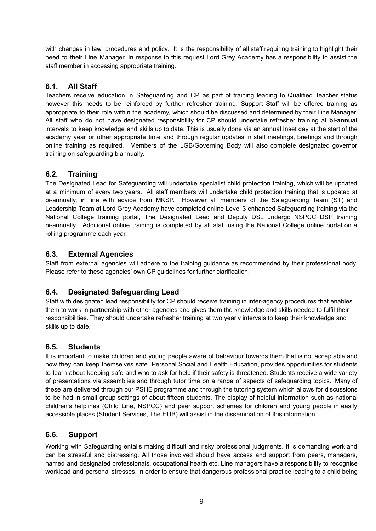with changes in law, procedures and policy. It is the responsibility of all staff requiring training to highlight their need to their Line Manager. In response to this request Lord Grey Academy has a responsibility to assist the staff member in accessing appropriate training.

# **6.1. All Staff**

Teachers receive education in Safeguarding and CP as part of training leading to Qualified Teacher status however this needs to be reinforced by further refresher training. Support Staff will be offered training as appropriate to their role within the academy, which should be discussed and determined by their Line Manager. All staff who do not have designated responsibility for CP should undertake refresher training at **bi-annual** intervals to keep knowledge and skills up to date. This is usually done via an annual Inset day at the start of the academy year or other appropriate time and through regular updates in staff meetings, briefings and through online training as required. Members of the LGB/Governing Body will also complete designated governor training on safeguarding biannually.

# **6.2. Training**

The Designated Lead for Safeguarding will undertake specialist child protection training, which will be updated at a minimum of every two years. All staff members will undertake child protection training that is updated at bi-annually, in line with advice from MKSP. However all members of the Safeguarding Team (ST) and Leadership Team at Lord Grey Academy have completed online Level 3 enhanced Safeguarding training via the National College training portal, The Designated Lead and Deputy DSL undergo NSPCC DSP training bi-annually. Additional online training is completed by all staff using the National College online portal on a rolling programme each year.

# **6.3. External Agencies**

Staff from external agencies will adhere to the training guidance as recommended by their professional body. Please refer to these agencies' own CP guidelines for further clarification.

# **6.4. Designated Safeguarding Lead**

Staff with designated lead responsibility for CP should receive training in inter-agency procedures that enables them to work in partnership with other agencies and gives them the knowledge and skills needed to fulfil their responsibilities. They should undertake refresher training at two yearly intervals to keep their knowledge and skills up to date.

# **6.5. Students**

It is important to make children and young people aware of behaviour towards them that is not acceptable and how they can keep themselves safe. Personal Social and Health Education, provides opportunities for students to learn about keeping safe and who to ask for help if their safety is threatened. Students receive a wide variety of presentations via assemblies and through tutor time on a range of aspects of safeguarding topics. Many of these are delivered through our PSHE programme and through the tutoring system which allows for discussions to be had in small group settings of about fifteen students. The display of helpful information such as national children's helplines (Child Line, NSPCC) and peer support schemes for children and young people in easily accessible places (Student Services, The HUB) will assist in the dissemination of this information.

# **6.6. Support**

Working with Safeguarding entails making difficult and risky professional judgments. It is demanding work and can be stressful and distressing. All those involved should have access and support from peers, managers, named and designated professionals, occupational health etc. Line managers have a responsibility to recognise workload and personal stresses, in order to ensure that dangerous professional practice leading to a child being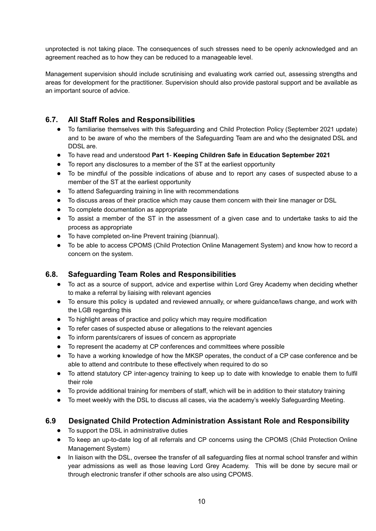unprotected is not taking place. The consequences of such stresses need to be openly acknowledged and an agreement reached as to how they can be reduced to a manageable level.

Management supervision should include scrutinising and evaluating work carried out, assessing strengths and areas for development for the practitioner. Supervision should also provide pastoral support and be available as an important source of advice.

# **6.7. All Staff Roles and Responsibilities**

- To familiarise themselves with this Safeguarding and Child Protection Policy (September 2021 update) and to be aware of who the members of the Safeguarding Team are and who the designated DSL and DDSL are.
- To have read and understood **Part 1 Keeping Children Safe in Education September 2021**
- To report any disclosures to a member of the ST at the earliest opportunity
- To be mindful of the possible indications of abuse and to report any cases of suspected abuse to a member of the ST at the earliest opportunity
- To attend Safeguarding training in line with recommendations
- To discuss areas of their practice which may cause them concern with their line manager or DSL
- To complete documentation as appropriate
- To assist a member of the ST in the assessment of a given case and to undertake tasks to aid the process as appropriate
- To have completed on-line Prevent training (biannual).
- To be able to access CPOMS (Child Protection Online Management System) and know how to record a concern on the system.

# **6.8. Safeguarding Team Roles and Responsibilities**

- To act as a source of support, advice and expertise within Lord Grey Academy when deciding whether to make a referral by liaising with relevant agencies
- To ensure this policy is updated and reviewed annually, or where guidance/laws change, and work with the LGB regarding this
- To highlight areas of practice and policy which may require modification
- To refer cases of suspected abuse or allegations to the relevant agencies
- To inform parents/carers of issues of concern as appropriate
- To represent the academy at CP conferences and committees where possible
- To have a working knowledge of how the MKSP operates, the conduct of a CP case conference and be able to attend and contribute to these effectively when required to do so
- To attend statutory CP inter-agency training to keep up to date with knowledge to enable them to fulfil their role
- To provide additional training for members of staff, which will be in addition to their statutory training
- To meet weekly with the DSL to discuss all cases, via the academy's weekly Safeguarding Meeting.

# **6.9 Designated Child Protection Administration Assistant Role and Responsibility**

- To support the DSL in administrative duties
- To keep an up-to-date log of all referrals and CP concerns using the CPOMS (Child Protection Online Management System)
- In liaison with the DSL, oversee the transfer of all safeguarding files at normal school transfer and within year admissions as well as those leaving Lord Grey Academy. This will be done by secure mail or through electronic transfer if other schools are also using CPOMS.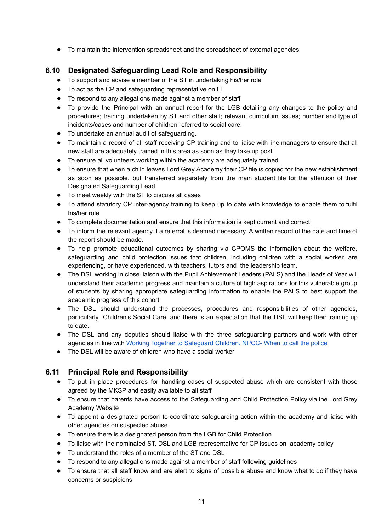● To maintain the intervention spreadsheet and the spreadsheet of external agencies

# **6.10 Designated Safeguarding Lead Role and Responsibility**

- To support and advise a member of the ST in undertaking his/her role
- To act as the CP and safeguarding representative on LT
- To respond to any allegations made against a member of staff
- To provide the Principal with an annual report for the LGB detailing any changes to the policy and procedures; training undertaken by ST and other staff; relevant curriculum issues; number and type of incidents/cases and number of children referred to social care.
- To undertake an annual audit of safeguarding.
- To maintain a record of all staff receiving CP training and to liaise with line managers to ensure that all new staff are adequately trained in this area as soon as they take up post
- To ensure all volunteers working within the academy are adequately trained
- To ensure that when a child leaves Lord Grey Academy their CP file is copied for the new establishment as soon as possible, but transferred separately from the main student file for the attention of their Designated Safeguarding Lead
- To meet weekly with the ST to discuss all cases
- To attend statutory CP inter-agency training to keep up to date with knowledge to enable them to fulfil his/her role
- To complete documentation and ensure that this information is kept current and correct
- To inform the relevant agency if a referral is deemed necessary. A written record of the date and time of the report should be made.
- To help promote educational outcomes by sharing via CPOMS the information about the welfare, safeguarding and child protection issues that children, including children with a social worker, are experiencing, or have experienced, with teachers, tutors and the leadership team.
- The DSL working in close liaison with the Pupil Achievement Leaders (PALS) and the Heads of Year will understand their academic progress and maintain a culture of high aspirations for this vulnerable group of students by sharing appropriate safeguarding information to enable the PALS to best support the academic progress of this cohort.
- The DSL should understand the processes, procedures and responsibilities of other agencies, particularly Children's Social Care, and there is an expectation that the DSL will keep their training up to date.
- The DSL and any deputies should liaise with the three safeguarding partners and work with other agencies in line with Working Together to [Safeguard](https://www.npcc.police.uk/documents/Children%20and%20Young%20people/When%20to%20call%20the%20police%20guidance%20for%20schools%20and%20colleges.pdf) Children. NPCC- When to call the police
- The DSL will be aware of children who have a social worker

# **6.11 Principal Role and Responsibility**

- To put in place procedures for handling cases of suspected abuse which are consistent with those agreed by the MKSP and easily available to all staff
- To ensure that parents have access to the Safeguarding and Child Protection Policy via the Lord Grey Academy Website
- To appoint a designated person to coordinate safeguarding action within the academy and liaise with other agencies on suspected abuse
- To ensure there is a designated person from the LGB for Child Protection
- To liaise with the nominated ST, DSL and LGB representative for CP issues on academy policy
- To understand the roles of a member of the ST and DSL
- To respond to any allegations made against a member of staff following guidelines
- To ensure that all staff know and are alert to signs of possible abuse and know what to do if they have concerns or suspicions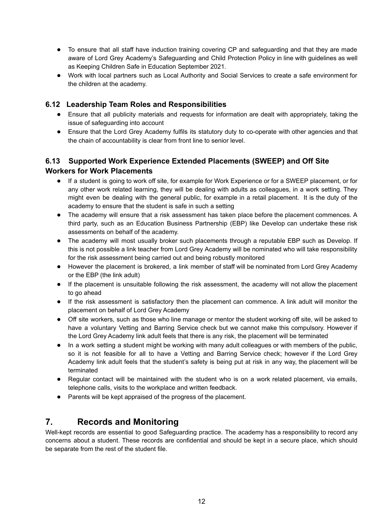- To ensure that all staff have induction training covering CP and safeguarding and that they are made aware of Lord Grey Academy's Safeguarding and Child Protection Policy in line with guidelines as well as Keeping Children Safe in Education September 2021.
- Work with local partners such as Local Authority and Social Services to create a safe environment for the children at the academy.

# **6.12 Leadership Team Roles and Responsibilities**

- Ensure that all publicity materials and requests for information are dealt with appropriately, taking the issue of safeguarding into account
- Ensure that the Lord Grey Academy fulfils its statutory duty to co-operate with other agencies and that the chain of accountability is clear from front line to senior level.

# **6.13 Supported Work Experience Extended Placements (SWEEP) and Off Site Workers for Work Placements**

- If a student is going to work off site, for example for Work Experience or for a SWEEP placement, or for any other work related learning, they will be dealing with adults as colleagues, in a work setting. They might even be dealing with the general public, for example in a retail placement. It is the duty of the academy to ensure that the student is safe in such a setting
- The academy will ensure that a risk assessment has taken place before the placement commences. A third party, such as an Education Business Partnership (EBP) like Develop can undertake these risk assessments on behalf of the academy.
- The academy will most usually broker such placements through a reputable EBP such as Develop. If this is not possible a link teacher from Lord Grey Academy will be nominated who will take responsibility for the risk assessment being carried out and being robustly monitored
- However the placement is brokered, a link member of staff will be nominated from Lord Grey Academy or the EBP (the link adult)
- If the placement is unsuitable following the risk assessment, the academy will not allow the placement to go ahead
- If the risk assessment is satisfactory then the placement can commence. A link adult will monitor the placement on behalf of Lord Grey Academy
- Off site workers, such as those who line manage or mentor the student working off site, will be asked to have a voluntary Vetting and Barring Service check but we cannot make this compulsory. However if the Lord Grey Academy link adult feels that there is any risk, the placement will be terminated
- In a work setting a student might be working with many adult colleagues or with members of the public, so it is not feasible for all to have a Vetting and Barring Service check; however if the Lord Grey Academy link adult feels that the student's safety is being put at risk in any way, the placement will be terminated
- Regular contact will be maintained with the student who is on a work related placement, via emails, telephone calls, visits to the workplace and written feedback.
- Parents will be kept appraised of the progress of the placement.

# **7. Records and Monitoring**

Well-kept records are essential to good Safeguarding practice. The academy has a responsibility to record any concerns about a student. These records are confidential and should be kept in a secure place, which should be separate from the rest of the student file.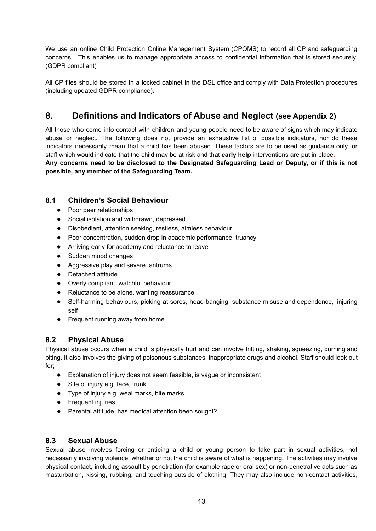We use an online Child Protection Online Management System (CPOMS) to record all CP and safeguarding concerns. This enables us to manage appropriate access to confidential information that is stored securely. (GDPR compliant)

All CP files should be stored in a locked cabinet in the DSL office and comply with Data Protection procedures (including updated GDPR compliance).

# **8. Definitions and Indicators of Abuse and Neglect (see Appendix 2)**

All those who come into contact with children and young people need to be aware of signs which may indicate abuse or neglect. The following does not provide an exhaustive list of possible indicators, nor do these indicators necessarily mean that a child has been abused. These factors are to be used as guidance only for staff which would indicate that the child may be at risk and that **early help** interventions are put in place.

**Any concerns need to be disclosed to the Designated Safeguarding Lead or Deputy, or if this is not possible, any member of the Safeguarding Team.**

# **8.1 Children's Social Behaviour**

- Poor peer relationships
- Social isolation and withdrawn, depressed
- Disobedient, attention seeking, restless, aimless behaviour
- Poor concentration, sudden drop in academic performance, truancy
- Arriving early for academy and reluctance to leave
- Sudden mood changes
- Aggressive play and severe tantrums
- Detached attitude
- Overly compliant, watchful behaviour
- Reluctance to be alone, wanting reassurance
- Self-harming behaviours, picking at sores, head-banging, substance misuse and dependence, injuring self
- Frequent running away from home.

# **8.2 Physical Abuse**

Physical abuse occurs when a child is physically hurt and can involve hitting, shaking, squeezing, burning and biting. It also involves the giving of poisonous substances, inappropriate drugs and alcohol. Staff should look out for;

- Explanation of injury does not seem feasible, is vague or inconsistent
- Site of injury e.g. face, trunk
- Type of injury e.g. weal marks, bite marks
- Frequent injuries
- Parental attitude, has medical attention been sought?

# **8.3 Sexual Abuse**

Sexual abuse involves forcing or enticing a child or young person to take part in sexual activities, not necessarily involving violence, whether or not the child is aware of what is happening. The activities may involve physical contact, including assault by penetration (for example rape or oral sex) or non-penetrative acts such as masturbation, kissing, rubbing, and touching outside of clothing. They may also include non-contact activities,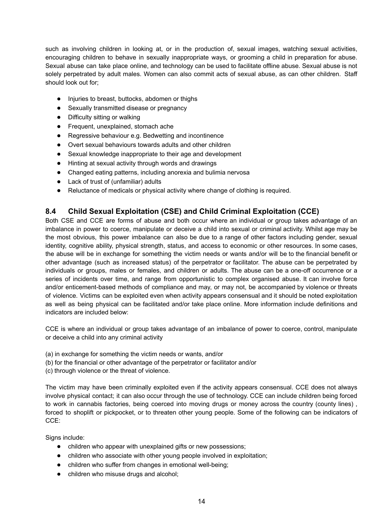such as involving children in looking at, or in the production of, sexual images, watching sexual activities, encouraging children to behave in sexually inappropriate ways, or grooming a child in preparation for abuse. Sexual abuse can take place online, and technology can be used to facilitate offline abuse. Sexual abuse is not solely perpetrated by adult males. Women can also commit acts of sexual abuse, as can other children. Staff should look out for;

- Injuries to breast, buttocks, abdomen or thighs
- Sexually transmitted disease or pregnancy
- Difficulty sitting or walking
- Frequent, unexplained, stomach ache
- Regressive behaviour e.g. Bedwetting and incontinence
- Overt sexual behaviours towards adults and other children
- Sexual knowledge inappropriate to their age and development
- Hinting at sexual activity through words and drawings
- Changed eating patterns, including anorexia and bulimia nervosa
- Lack of trust of (unfamiliar) adults
- Reluctance of medicals or physical activity where change of clothing is required.

# **8.4 Child Sexual Exploitation (CSE) and Child Criminal Exploitation (CCE)**

Both CSE and CCE are forms of abuse and both occur where an individual or group takes advantage of an imbalance in power to coerce, manipulate or deceive a child into sexual or criminal activity. Whilst age may be the most obvious, this power imbalance can also be due to a range of other factors including gender, sexual identity, cognitive ability, physical strength, status, and access to economic or other resources. In some cases, the abuse will be in exchange for something the victim needs or wants and/or will be to the financial benefit or other advantage (such as increased status) of the perpetrator or facilitator. The abuse can be perpetrated by individuals or groups, males or females, and children or adults. The abuse can be a one-off occurrence or a series of incidents over time, and range from opportunistic to complex organised abuse. It can involve force and/or enticement-based methods of compliance and may, or may not, be accompanied by violence or threats of violence. Victims can be exploited even when activity appears consensual and it should be noted exploitation as well as being physical can be facilitated and/or take place online. More information include definitions and indicators are included below:

CCE is where an individual or group takes advantage of an imbalance of power to coerce, control, manipulate or deceive a child into any criminal activity

- (a) in exchange for something the victim needs or wants, and/or
- (b) for the financial or other advantage of the perpetrator or facilitator and/or
- (c) through violence or the threat of violence.

The victim may have been criminally exploited even if the activity appears consensual. CCE does not always involve physical contact; it can also occur through the use of technology. CCE can include children being forced to work in cannabis factories, being coerced into moving drugs or money across the country (county lines) , forced to shoplift or pickpocket, or to threaten other young people. Some of the following can be indicators of CCE:

Signs include:

- children who appear with unexplained gifts or new possessions;
- children who associate with other young people involved in exploitation;
- children who suffer from changes in emotional well-being;
- children who misuse drugs and alcohol;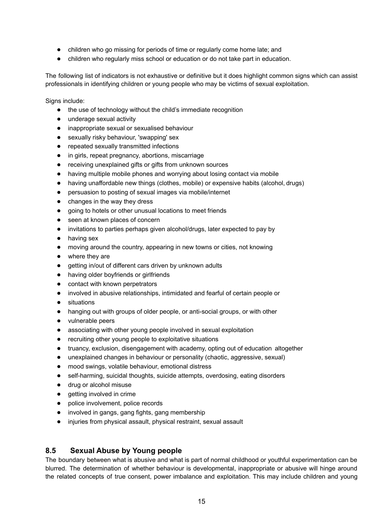- children who go missing for periods of time or regularly come home late; and
- children who regularly miss school or education or do not take part in education.

The following list of indicators is not exhaustive or definitive but it does highlight common signs which can assist professionals in identifying children or young people who may be victims of sexual exploitation.

Signs include:

- the use of technology without the child's immediate recognition
- underage sexual activity
- inappropriate sexual or sexualised behaviour
- sexually risky behaviour, 'swapping' sex
- repeated sexually transmitted infections
- in girls, repeat pregnancy, abortions, miscarriage
- receiving unexplained gifts or gifts from unknown sources
- having multiple mobile phones and worrying about losing contact via mobile
- having unaffordable new things (clothes, mobile) or expensive habits (alcohol, drugs)
- persuasion to posting of sexual images via mobile/internet
- changes in the way they dress
- going to hotels or other unusual locations to meet friends
- seen at known places of concern
- invitations to parties perhaps given alcohol/drugs, later expected to pay by
- having sex
- moving around the country, appearing in new towns or cities, not knowing
- where they are
- getting in/out of different cars driven by unknown adults
- having older boyfriends or girlfriends
- contact with known perpetrators
- involved in abusive relationships, intimidated and fearful of certain people or
- situations
- hanging out with groups of older people, or anti-social groups, or with other
- vulnerable peers
- associating with other young people involved in sexual exploitation
- recruiting other young people to exploitative situations
- truancy, exclusion, disengagement with academy, opting out of education altogether
- unexplained changes in behaviour or personality (chaotic, aggressive, sexual)
- mood swings, volatile behaviour, emotional distress
- self-harming, suicidal thoughts, suicide attempts, overdosing, eating disorders
- drug or alcohol misuse
- getting involved in crime
- police involvement, police records
- involved in gangs, gang fights, gang membership
- injuries from physical assault, physical restraint, sexual assault

# **8.5 Sexual Abuse by Young people**

The boundary between what is abusive and what is part of normal childhood or youthful experimentation can be blurred. The determination of whether behaviour is developmental, inappropriate or abusive will hinge around the related concepts of true consent, power imbalance and exploitation. This may include children and young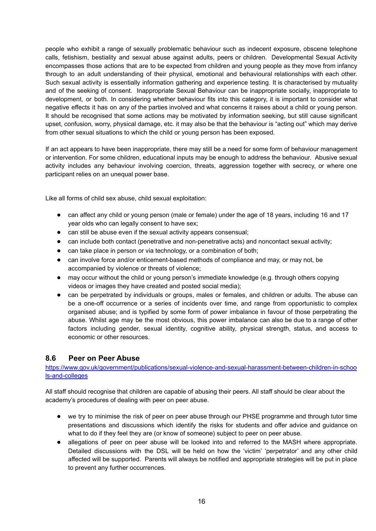people who exhibit a range of sexually problematic behaviour such as indecent exposure, obscene telephone calls, fetishism, bestiality and sexual abuse against adults, peers or children. Developmental Sexual Activity encompasses those actions that are to be expected from children and young people as they move from infancy through to an adult understanding of their physical, emotional and behavioural relationships with each other. Such sexual activity is essentially information gathering and experience testing. It is characterised by mutuality and of the seeking of consent. Inappropriate Sexual Behaviour can be inappropriate socially, inappropriate to development, or both. In considering whether behaviour fits into this category, it is important to consider what negative effects it has on any of the parties involved and what concerns it raises about a child or young person. It should be recognised that some actions may be motivated by information seeking, but still cause significant upset, confusion, worry, physical damage, etc. it may also be that the behaviour is "acting out" which may derive from other sexual situations to which the child or young person has been exposed.

If an act appears to have been inappropriate, there may still be a need for some form of behaviour management or intervention. For some children, educational inputs may be enough to address the behaviour. Abusive sexual activity includes any behaviour involving coercion, threats, aggression together with secrecy, or where one participant relies on an unequal power base.

Like all forms of child sex abuse, child sexual exploitation:

- can affect any child or young person (male or female) under the age of 18 years, including 16 and 17 year olds who can legally consent to have sex;
- can still be abuse even if the sexual activity appears consensual:
- can include both contact (penetrative and non-penetrative acts) and noncontact sexual activity;
- can take place in person or via technology, or a combination of both;
- can involve force and/or enticement-based methods of compliance and may, or may not, be accompanied by violence or threats of violence;
- may occur without the child or young person's immediate knowledge (e.g. through others copying videos or images they have created and posted social media);
- can be perpetrated by individuals or groups, males or females, and children or adults. The abuse can be a one-off occurrence or a series of incidents over time, and range from opportunistic to complex organised abuse; and is typified by some form of power imbalance in favour of those perpetrating the abuse. Whilst age may be the most obvious, this power imbalance can also be due to a range of other factors including gender, sexual identity, cognitive ability, physical strength, status, and access to economic or other resources.

# **8.6 Peer on Peer Abuse**

[https://www.gov.uk/government/publications/sexual-violence-and-sexual-harassment-between-children-in-schoo](https://www.gov.uk/government/publications/sexual-violence-and-sexual-harassment-between-children-in-schools-and-colleges) [ls-and-colleges](https://www.gov.uk/government/publications/sexual-violence-and-sexual-harassment-between-children-in-schools-and-colleges)

All staff should recognise that children are capable of abusing their peers. All staff should be clear about the academy's procedures of dealing with peer on peer abuse.

- we try to minimise the risk of peer on peer abuse through our PHSE programme and through tutor time presentations and discussions which identify the risks for students and offer advice and guidance on what to do if they feel they are (or know of someone) subject to peer on peer abuse.
- allegations of peer on peer abuse will be looked into and referred to the MASH where appropriate. Detailed discussions with the DSL will be held on how the 'victim' 'perpetrator' and any other child affected will be supported. Parents will always be notified and appropriate strategies will be put in place to prevent any further occurrences.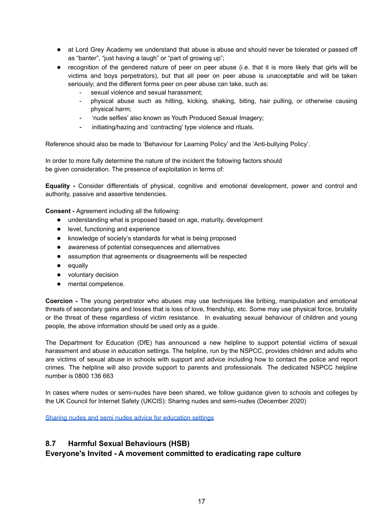- at Lord Grey Academy we understand that abuse is abuse and should never be tolerated or passed off as "banter", "just having a laugh" or "part of growing up";
- recognition of the gendered nature of peer on peer abuse (i.e. that it is more likely that girls will be victims and boys perpetrators), but that all peer on peer abuse is unacceptable and will be taken seriously; and the different forms peer on peer abuse can take, such as:
	- sexual violence and sexual harassment;
	- physical abuse such as hitting, kicking, shaking, biting, hair pulling, or otherwise causing physical harm;
	- 'nude selfies' also known as Youth Produced Sexual Imagery;
	- initiating/hazing and 'contracting' type violence and rituals.

Reference should also be made to 'Behaviour for Learning Policy' and the 'Anti-bullying Policy'.

In order to more fully determine the nature of the incident the following factors should be given consideration. The presence of exploitation in terms of:

**Equality -** Consider differentials of physical, cognitive and emotional development, power and control and authority, passive and assertive tendencies.

**Consent -** Agreement including all the following:

- understanding what is proposed based on age, maturity, development
- level, functioning and experience
- knowledge of society's standards for what is being proposed
- awareness of potential consequences and alternatives
- assumption that agreements or disagreements will be respected
- equally
- voluntary decision
- mental competence.

**Coercion -** The young perpetrator who abuses may use techniques like bribing, manipulation and emotional threats of secondary gains and losses that is loss of love, friendship, etc. Some may use physical force, brutality or the threat of these regardless of victim resistance. In evaluating sexual behaviour of children and young people, the above information should be used only as a guide.

The Department for Education (DfE) has announced a new helpline to support potential victims of sexual harassment and abuse in education settings. The helpline, run by the NSPCC, provides children and adults who are victims of sexual abuse in schools with support and advice including how to contact the police and report crimes. The helpline will also provide support to parents and professionals The dedicated NSPCC helpline number is 0800 136 663

In cases where nudes or semi-nudes have been shared, we follow guidance given to schools and colleges by the UK Council for Internet Safety (UKCIS): Sharing nudes and semi-nudes (December 2020)

Sharing nudes and semi nudes advice for [education](https://www.gov.uk/government/publications/sharing-nudes-and-semi-nudes-advice-for-education-settings-working-with-children-and-young-people/sharing-nudes-and-semi-nudes-advice-for-education-settings-working-with-children-and-young-people) settings

#### **8.7 Harmful Sexual Behaviours (HSB)**

# **Everyone's Invited - A movement committed to eradicating rape culture**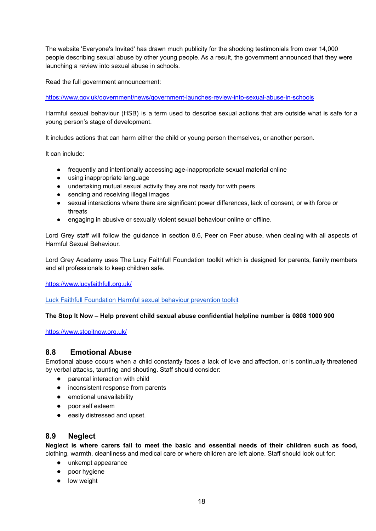The website 'Everyone's Invited' has drawn much publicity for the shocking testimonials from over 14,000 people describing sexual abuse by other young people. As a result, the government announced that they were launching a review into sexual abuse in schools.

Read the full government announcement:

<https://www.gov.uk/government/news/government-launches-review-into-sexual-abuse-in-schools>

Harmful sexual behaviour (HSB) is a term used to describe sexual actions that are outside what is safe for a young person's stage of development.

It includes actions that can harm either the child or young person themselves, or another person.

It can include:

- frequently and intentionally accessing age-inappropriate sexual material online
- using inappropriate language
- undertaking mutual sexual activity they are not ready for with peers
- sending and receiving illegal images
- sexual interactions where there are significant power differences, lack of consent, or with force or threats
- engaging in abusive or sexually violent sexual behaviour online or offline.

Lord Grey staff will follow the guidance in section 8.6, Peer on Peer abuse, when dealing with all aspects of Harmful Sexual Behaviour.

Lord Grey Academy uses The Lucy Faithfull Foundation toolkit which is designed for parents, family members and all professionals to keep children safe.

<https://www.lucyfaithfull.org.uk/>

Luck Faithfull [Foundation](https://childhub.org/sites/default/files/attachments/stop_it_now_harmful_sexual_behaviour_prevention_toolkit_sept_2020.pdf) Harmful sexual behaviour prevention toolkit

#### **The Stop It Now – Help prevent child sexual abuse confidential helpline number is 0808 1000 900**

<https://www.stopitnow.org.uk/>

#### **8.8 Emotional Abuse**

Emotional abuse occurs when a child constantly faces a lack of love and affection, or is continually threatened by verbal attacks, taunting and shouting. Staff should consider:

- parental interaction with child
- inconsistent response from parents
- emotional unavailability
- poor self esteem
- easily distressed and upset.

# **8.9 Neglect**

**Neglect is where carers fail to meet the basic and essential needs of their children such as food,** clothing, warmth, cleanliness and medical care or where children are left alone. Staff should look out for:

- unkempt appearance
- poor hygiene
- low weight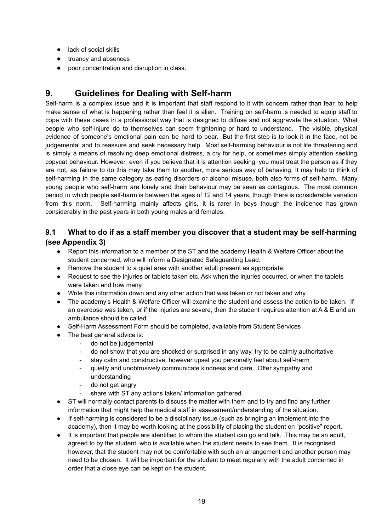- lack of social skills
- truancy and absences
- poor concentration and disruption in class.

# **9. Guidelines for Dealing with Self-harm**

Self-harm is a complex issue and it is important that staff respond to it with concern rather than fear, to help make sense of what is happening rather than feel it is alien. Training on self-harm is needed to equip staff to cope with these cases in a professional way that is designed to diffuse and not aggravate the situation. What people who self-injure do to themselves can seem frightening or hard to understand. The visible, physical evidence of someone's emotional pain can be hard to bear. But the first step is to look it in the face, not be judgemental and to reassure and seek necessary help. Most self-harming behaviour is not life threatening and is simply a means of resolving deep emotional distress, a cry for help, or sometimes simply attention seeking copycat behaviour. However, even if you believe that it is attention seeking, you must treat the person as if they are not, as failure to do this may take them to another, more serious way of behaving. It may help to think of self-harming in the same category as eating disorders or alcohol misuse, both also forms of self-harm. Many young people who self-harm are lonely and their behaviour may be seen as contagious. The most common period in which people self-harm is between the ages of 12 and 14 years, though there is considerable variation from this norm. Self-harming mainly affects girls, it is rarer in boys though the incidence has grown considerably in the past years in both young males and females.

# **9.1 What to do if as a staff member you discover that a student may be self-harming (see Appendix 3)**

- Report this information to a member of the ST and the academy Health & Welfare Officer about the student concerned, who will inform a Designated Safeguarding Lead.
- Remove the student to a quiet area with another adult present as appropriate.
- Request to see the injuries or tablets taken etc. Ask when the injuries occurred, or when the tablets were taken and how many.
- Write this information down and any other action that was taken or not taken and why.
- The academy's Health & Welfare Officer will examine the student and assess the action to be taken. If an overdose was taken, or if the injuries are severe, then the student requires attention at A & E and an ambulance should be called.
- Self-Harm Assessment Form should be completed, available from Student Services
- The best general advice is:
	- do not be judgemental
	- do not show that you are shocked or surprised in any way, try to be calmly authoritative
	- stay calm and constructive, however upset you personally feel about self-harm
	- quietly and unobtrusively communicate kindness and care. Offer sympathy and understanding
	- do not get angry
	- share with ST any actions taken/ information gathered.
- ST will normally contact parents to discuss the matter with them and to try and find any further information that might help the medical staff in assessment/understanding of the situation.
- If self-harming is considered to be a disciplinary issue (such as bringing an implement into the academy), then it may be worth looking at the possibility of placing the student on "positive" report.
- It is important that people are identified to whom the student can go and talk. This may be an adult, agreed to by the student, who is available when the student needs to see them. It is recognised however, that the student may not be comfortable with such an arrangement and another person may need to be chosen. It will be important for the student to meet regularly with the adult concerned in order that a close eye can be kept on the student.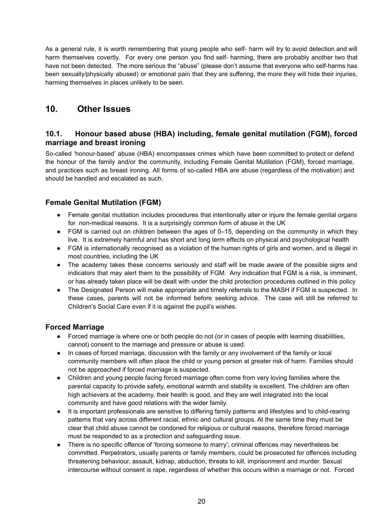As a general rule, it is worth remembering that young people who self- harm will try to avoid detection and will harm themselves covertly. For every one person you find self- harming, there are probably another two that have not been detected. The more serious the "abuse" (please don't assume that everyone who self-harms has been sexually/physically abused) or emotional pain that they are suffering, the more they will hide their injuries, harming themselves in places unlikely to be seen.

# **10. Other Issues**

# **10.1. Honour based abuse (HBA) including, female genital mutilation (FGM), forced marriage and breast ironing**

So-called 'honour-based' abuse (HBA) encompasses crimes which have been committed to protect or defend the honour of the family and/or the community, including Female Genital Mutilation (FGM), forced marriage, and practices such as breast ironing. All forms of so-called HBA are abuse (regardless of the motivation) and should be handled and escalated as such.

# **Female Genital Mutilation (FGM)**

- Female genital mutilation includes procedures that intentionally alter or injure the female genital organs for non-medical reasons. It is a surprisingly common form of abuse in the UK
- FGM is carried out on children between the ages of 0–15, depending on the community in which they live. It is extremely harmful and has short and long term effects on physical and psychological health
- FGM is internationally recognised as a violation of the human rights of girls and women, and is illegal in most countries, including the UK
- The academy takes these concerns seriously and staff will be made aware of the possible signs and indicators that may alert them to the possibility of FGM. Any indication that FGM is a risk, is imminent, or has already taken place will be dealt with under the child protection procedures outlined in this policy
- The Designated Person will make appropriate and timely referrals to the MASH if FGM is suspected. In these cases, parents will not be informed before seeking advice. The case will still be referred to Children's Social Care even if it is against the pupil's wishes.

# **Forced Marriage**

- Forced marriage is where one or both people do not (or in cases of people with learning disabilities, cannot) consent to the marriage and pressure or abuse is used.
- In cases of forced marriage, discussion with the family or any involvement of the family or local community members will often place the child or young person at greater risk of harm. Families should not be approached if forced marriage is suspected.
- Children and young people facing forced marriage often come from very loving families where the parental capacity to provide safety, emotional warmth and stability is excellent. The children are often high achievers at the academy, their health is good, and they are well integrated into the local community and have good relations with the wider family.
- It is important professionals are sensitive to differing family patterns and lifestyles and to child-rearing patterns that vary across different racial, ethnic and cultural groups. At the same time they must be clear that child abuse cannot be condoned for religious or cultural reasons, therefore forced marriage must be responded to as a protection and safeguarding issue.
- There is no specific offence of 'forcing someone to marry'; criminal offences may nevertheless be committed. Perpetrators, usually parents or family members, could be prosecuted for offences including threatening behaviour, assault, kidnap, abduction, threats to kill, imprisonment and murder. Sexual intercourse without consent is rape, regardless of whether this occurs within a marriage or not. Forced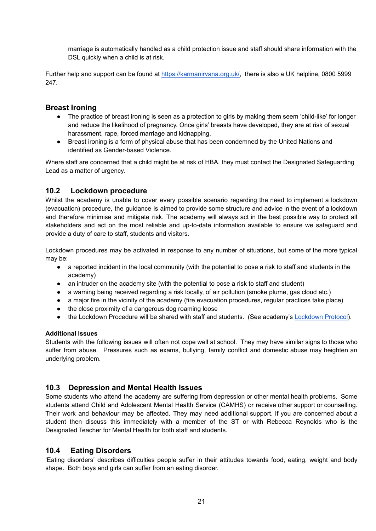marriage is automatically handled as a child protection issue and staff should share information with the DSL quickly when a child is at risk.

Further help and support can be found at [https://karmanirvana.org.uk/,](https://karmanirvana.org.uk/) there is also a UK helpline, 0800 5999 247.

#### **Breast Ironing**

- The practice of breast ironing is seen as a protection to girls by making them seem 'child-like' for longer and reduce the likelihood of pregnancy. Once girls' breasts have developed, they are at risk of sexual harassment, rape, forced marriage and kidnapping.
- Breast ironing is a form of physical abuse that has been condemned by the United Nations and identified as Gender-based Violence.

Where staff are concerned that a child might be at risk of HBA, they must contact the Designated Safeguarding Lead as a matter of urgency.

#### **10.2 Lockdown procedure**

Whilst the academy is unable to cover every possible scenario regarding the need to implement a lockdown (evacuation) procedure, the guidance is aimed to provide some structure and advice in the event of a lockdown and therefore minimise and mitigate risk. The academy will always act in the best possible way to protect all stakeholders and act on the most reliable and up-to-date information available to ensure we safeguard and provide a duty of care to staff, students and visitors.

Lockdown procedures may be activated in response to any number of situations, but some of the more typical may be:

- a reported incident in the local community (with the potential to pose a risk to staff and students in the academy)
- an intruder on the academy site (with the potential to pose a risk to staff and student)
- a warning being received regarding a risk locally, of air pollution (smoke plume, gas cloud etc.)
- a major fire in the vicinity of the academy (fire evacuation procedures, regular practices take place)
- the close proximity of a dangerous dog roaming loose
- the Lockdown Procedure will be shared with staff and students. (See academy's [Lockdown](https://docs.google.com/document/d/1hp2GiJcI_1Wk7v9eqrkE4HHHf0HejITuBqN_8JDnBRE/edit?usp=sharing) Protocol).

#### **Additional Issues**

Students with the following issues will often not cope well at school. They may have similar signs to those who suffer from abuse. Pressures such as exams, bullying, family conflict and domestic abuse may heighten an underlying problem.

#### **10.3 Depression and Mental Health Issues**

Some students who attend the academy are suffering from depression or other mental health problems. Some students attend Child and Adolescent Mental Health Service (CAMHS) or receive other support or counselling. Their work and behaviour may be affected. They may need additional support. If you are concerned about a student then discuss this immediately with a member of the ST or with Rebecca Reynolds who is the Designated Teacher for Mental Health for both staff and students.

#### **10.4 Eating Disorders**

'Eating disorders' describes difficulties people suffer in their attitudes towards food, eating, weight and body shape. Both boys and girls can suffer from an eating disorder.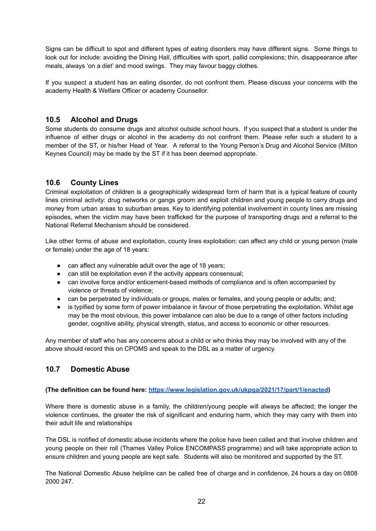Signs can be difficult to spot and different types of eating disorders may have different signs. Some things to look out for include: avoiding the Dining Hall, difficulties with sport, pallid complexions; thin, disappearance after meals, always 'on a diet' and mood swings. They may favour baggy clothes.

If you suspect a student has an eating disorder, do not confront them. Please discuss your concerns with the academy Health & Welfare Officer or academy Counsellor.

# **10.5 Alcohol and Drugs**

Some students do consume drugs and alcohol outside school hours. If you suspect that a student is under the influence of either drugs or alcohol in the academy do not confront them. Please refer such a student to a member of the ST, or his/her Head of Year. A referral to the Young Person's Drug and Alcohol Service (Milton Keynes Council) may be made by the ST if it has been deemed appropriate.

# **10.6 County Lines**

Criminal exploitation of children is a geographically widespread form of harm that is a typical feature of county lines criminal activity: drug networks or gangs groom and exploit children and young people to carry drugs and money from urban areas to suburban areas. Key to identifying potential involvement in county lines are missing episodes, when the victim may have been trafficked for the purpose of transporting drugs and a referral to the National Referral Mechanism should be considered.

Like other forms of abuse and exploitation, county lines exploitation: can affect any child or young person (male or female) under the age of 18 years:

- can affect any vulnerable adult over the age of 18 years;
- can still be exploitation even if the activity appears consensual;
- can involve force and/or enticement-based methods of compliance and is often accompanied by violence or threats of violence;
- can be perpetrated by individuals or groups, males or females, and young people or adults; and;
- is typified by some form of power imbalance in favour of those perpetrating the exploitation. Whilst age may be the most obvious, this power imbalance can also be due to a range of other factors including gender, cognitive ability, physical strength, status, and access to economic or other resources.

Any member of staff who has any concerns about a child or who thinks they may be involved with any of the above should record this on CPOMS and speak to the DSL as a matter of urgency.

# **10.7 Domestic Abuse**

#### **(The definition can be found here: <https://www.legislation.gov.uk/ukpga/2021/17/part/1/enacted>)**

Where there is domestic abuse in a family, the children/young people will always be affected; the longer the violence continues, the greater the risk of significant and enduring harm, which they may carry with them into their adult life and relationships

The DSL is notified of domestic abuse incidents where the police have been called and that involve children and young people on their roll (Thames Valley Police ENCOMPASS programme) and will take appropriate action to ensure children and young people are kept safe. Students will also be monitored and supported by the ST.

The National Domestic Abuse helpline can be called free of charge and in confidence, 24 hours a day on 0808 2000 247.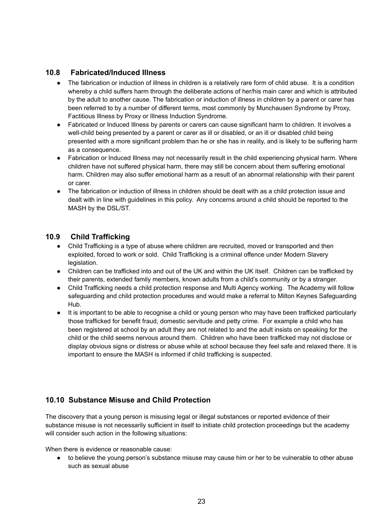# **10.8 Fabricated/Induced Illness**

- The fabrication or induction of illness in children is a relatively rare form of child abuse. It is a condition whereby a child suffers harm through the deliberate actions of her/his main carer and which is attributed by the adult to another cause. The fabrication or induction of illness in children by a parent or carer has been referred to by a number of different terms, most commonly by Munchausen Syndrome by Proxy, Factitious Illness by Proxy or Illness Induction Syndrome.
- Fabricated or Induced Illness by parents or carers can cause significant harm to children. It involves a well-child being presented by a parent or carer as ill or disabled, or an ill or disabled child being presented with a more significant problem than he or she has in reality, and is likely to be suffering harm as a consequence.
- Fabrication or Induced Illness may not necessarily result in the child experiencing physical harm. Where children have not suffered physical harm, there may still be concern about them suffering emotional harm. Children may also suffer emotional harm as a result of an abnormal relationship with their parent or carer.
- The fabrication or induction of illness in children should be dealt with as a child protection issue and dealt with in line with guidelines in this policy. Any concerns around a child should be reported to the MASH by the DSL/ST.

# **10.9 Child Trafficking**

- Child Trafficking is a type of abuse where children are recruited, moved or transported and then exploited, forced to work or sold. Child Trafficking is a criminal offence under Modern Slavery legislation.
- Children can be trafficked into and out of the UK and within the UK itself. Children can be trafficked by their parents, extended family members, known adults from a child's community or by a stranger.
- Child Trafficking needs a child protection response and Multi Agency working. The Academy will follow safeguarding and child protection procedures and would make a referral to Milton Keynes Safeguarding Hub.
- It is important to be able to recognise a child or young person who may have been trafficked particularly those trafficked for benefit fraud, domestic servitude and petty crime. For example a child who has been registered at school by an adult they are not related to and the adult insists on speaking for the child or the child seems nervous around them. Children who have been trafficked may not disclose or display obvious signs or distress or abuse while at school because they feel safe and relaxed there. It is important to ensure the MASH is informed if child trafficking is suspected.

# **10.10 Substance Misuse and Child Protection**

The discovery that a young person is misusing legal or illegal substances or reported evidence of their substance misuse is not necessarily sufficient in itself to initiate child protection proceedings but the academy will consider such action in the following situations:

When there is evidence or reasonable cause:

● to believe the young person's substance misuse may cause him or her to be vulnerable to other abuse such as sexual abuse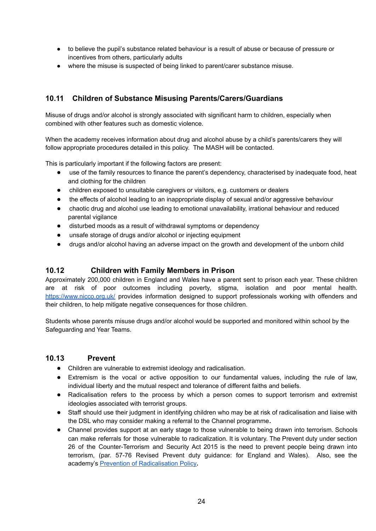- to believe the pupil's substance related behaviour is a result of abuse or because of pressure or incentives from others, particularly adults
- where the misuse is suspected of being linked to parent/carer substance misuse.

# **10.11 Children of Substance Misusing Parents/Carers/Guardians**

Misuse of drugs and/or alcohol is strongly associated with significant harm to children, especially when combined with other features such as domestic violence.

When the academy receives information about drug and alcohol abuse by a child's parents/carers they will follow appropriate procedures detailed in this policy. The MASH will be contacted.

This is particularly important if the following factors are present:

- use of the family resources to finance the parent's dependency, characterised by inadequate food, heat and clothing for the children
- children exposed to unsuitable caregivers or visitors, e.g. customers or dealers
- the effects of alcohol leading to an inappropriate display of sexual and/or aggressive behaviour
- chaotic drug and alcohol use leading to emotional unavailability, irrational behaviour and reduced parental vigilance
- disturbed moods as a result of withdrawal symptoms or dependency
- unsafe storage of drugs and/or alcohol or injecting equipment
- drugs and/or alcohol having an adverse impact on the growth and development of the unborn child

# **10.12 Children with Family Members in Prison**

Approximately 200,000 children in England and Wales have a parent sent to prison each year. These children are at risk of poor outcomes including poverty, stigma, isolation and poor mental health. <https://www.nicco.org.uk/> provides information designed to support professionals working with offenders and their children, to help mitigate negative consequences for those children.

Students whose parents misuse drugs and/or alcohol would be supported and monitored within school by the Safeguarding and Year Teams.

#### **10.13 Prevent**

- Children are vulnerable to extremist ideology and radicalisation.
- Extremism is the vocal or active opposition to our fundamental values, including the rule of law, individual liberty and the mutual respect and tolerance of different faiths and beliefs.
- Radicalisation refers to the process by which a person comes to support terrorism and extremist ideologies associated with terrorist groups.
- Staff should use their judgment in identifying children who may be at risk of radicalisation and liaise with the DSL who may consider making a referral to the Channel programme**.**
- Channel provides support at an early stage to those vulnerable to being drawn into terrorism. Schools can make referrals for those vulnerable to radicalization. It is voluntary. The Prevent duty under section 26 of the Counter-Terrorism and Security Act 2015 is the need to prevent people being drawn into terrorism, (par. 57-76 Revised Prevent duty guidance: for England and Wales). Also, see the academy's Prevention of [Radicalisation](https://drive.google.com/file/d/1EgF-Io4W6T-UWoW_k9u7svDBDHv3Cscm/view?usp=sharing) Policy**.**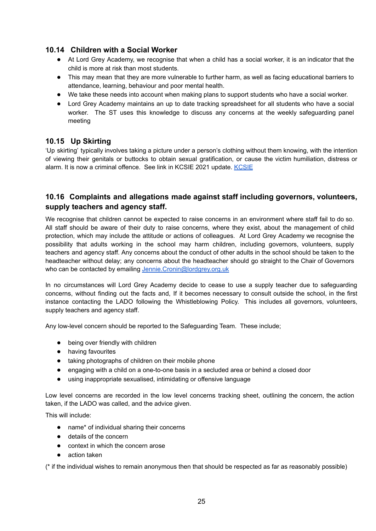# **10.14 Children with a Social Worker**

- At Lord Grey Academy, we recognise that when a child has a social worker, it is an indicator that the child is more at risk than most students.
- This may mean that they are more vulnerable to further harm, as well as facing educational barriers to attendance, learning, behaviour and poor mental health.
- We take these needs into account when making plans to support students who have a social worker.
- Lord Grey Academy maintains an up to date tracking spreadsheet for all students who have a social worker. The ST uses this knowledge to discuss any concerns at the weekly safeguarding panel meeting

# **10.15 Up Skirting**

'Up skirting' typically involves taking a picture under a person's clothing without them knowing, with the intention of viewing their genitals or buttocks to obtain sexual gratification, or cause the victim humiliation, distress or alarm. It is now a criminal offence. See link in [KCSIE](https://www.gov.uk/government/publications/keeping-children-safe-in-education--2) 2021 update. KCSIE

# **10.16 Complaints and allegations made against staff including governors, volunteers, supply teachers and agency staff.**

We recognise that children cannot be expected to raise concerns in an environment where staff fail to do so. All staff should be aware of their duty to raise concerns, where they exist, about the management of child protection, which may include the attitude or actions of colleagues. At Lord Grey Academy we recognise the possibility that adults working in the school may harm children, including governors, volunteers, supply teachers and agency staff. Any concerns about the conduct of other adults in the school should be taken to the headteacher without delay; any concerns about the headteacher should go straight to the Chair of Governors who can be contacted by emailing [Jennie.Cronin@lordgrey.org.uk](mailto:Jennie.Cronin@lordgrey.org.uk)

In no circumstances will Lord Grey Academy decide to cease to use a supply teacher due to safeguarding concerns, without finding out the facts and, If it becomes necessary to consult outside the school, in the first instance contacting the LADO following the Whistleblowing Policy. This includes all governors, volunteers, supply teachers and agency staff.

Any low-level concern should be reported to the Safeguarding Team. These include;

- being over friendly with children
- having favourites
- taking photographs of children on their mobile phone
- engaging with a child on a one-to-one basis in a secluded area or behind a closed door
- using inappropriate sexualised, intimidating or offensive language

Low level concerns are recorded in the low level concerns tracking sheet, outlining the concern, the action taken, if the LADO was called, and the advice given.

This will include:

- name\* of individual sharing their concerns
- details of the concern
- context in which the concern arose
- action taken

(\* if the individual wishes to remain anonymous then that should be respected as far as reasonably possible)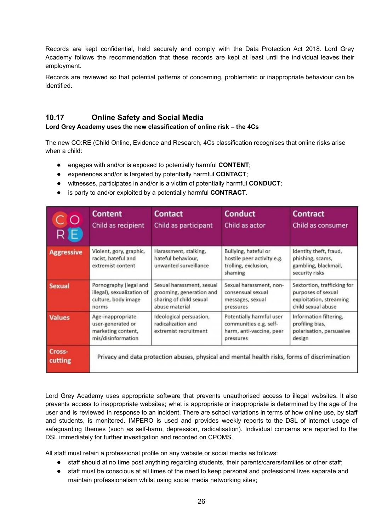Records are kept confidential, held securely and comply with the Data Protection Act 2018. Lord Grey Academy follows the recommendation that these records are kept at least until the individual leaves their employment.

Records are reviewed so that potential patterns of concerning, problematic or inappropriate behaviour can be identified.

# **10.17 Online Safety and Social Media**

#### **Lord Grey Academy uses the new classification of online risk – the 4Cs**

The new CO:RE (Child Online, Evidence and Research, 4Cs classification recognises that online risks arise when a child:

- engages with and/or is exposed to potentially harmful **CONTENT**;
- experiences and/or is targeted by potentially harmful **CONTACT**;
- witnesses, participates in and/or is a victim of potentially harmful **CONDUCT**;
- is party to and/or exploited by a potentially harmful **CONTRACT**.

| C O<br>R E        | <b>Content</b><br>Child as recipient                                                 | <b>Contact</b><br>Child as participant                                                             | <b>Conduct</b><br>Child as actor                                                            | <b>Contract</b><br>Child as consumer                                                               |
|-------------------|--------------------------------------------------------------------------------------|----------------------------------------------------------------------------------------------------|---------------------------------------------------------------------------------------------|----------------------------------------------------------------------------------------------------|
| <b>Aggressive</b> | Violent, gory, graphic,<br>racist, hateful and<br>extremist content                  | Harassment, stalking,<br>hateful behaviour,<br>unwanted surveillance                               | Bullying, hateful or<br>hostile peer activity e.g.<br>trolling, exclusion,<br>shaming       | Identity theft, fraud,<br>phishing, scams,<br>gambling, blackmail,<br>security risks               |
| <b>Sexual</b>     | Pornography (legal and<br>illegal), sexualization of<br>culture, body image<br>norms | Sexual harassment, sexual<br>grooming, generation and<br>sharing of child sexual<br>abuse material | Sexual harassment, non-<br>consensual sexual<br>messages, sexual<br>pressures               | Sextortion, trafficking for<br>purposes of sexual<br>exploitation, streaming<br>child sexual abuse |
| <b>Values</b>     | Age-inappropriate<br>user-generated or<br>marketing content,<br>mis/disinformation   | Ideological persuasion,<br>radicalization and<br>extremist recruitment                             | Potentially harmful user<br>communities e.g. self-<br>harm, anti-vaccine, peer<br>pressures | Information filtering,<br>profiling bias,<br>polarisation, persuasive<br>design                    |
| Cross-<br>cutting |                                                                                      | Privacy and data protection abuses, physical and mental health risks, forms of discrimination      |                                                                                             |                                                                                                    |

Lord Grey Academy uses appropriate software that prevents unauthorised access to illegal websites. It also prevents access to inappropriate websites; what is appropriate or inappropriate is determined by the age of the user and is reviewed in response to an incident. There are school variations in terms of how online use, by staff and students, is monitored. IMPERO is used and provides weekly reports to the DSL of internet usage of safeguarding themes (such as self-harm, depression, radicalisation). Individual concerns are reported to the DSL immediately for further investigation and recorded on CPOMS.

All staff must retain a professional profile on any website or social media as follows:

- staff should at no time post anything regarding students, their parents/carers/families or other staff;
- staff must be conscious at all times of the need to keep personal and professional lives separate and maintain professionalism whilst using social media networking sites;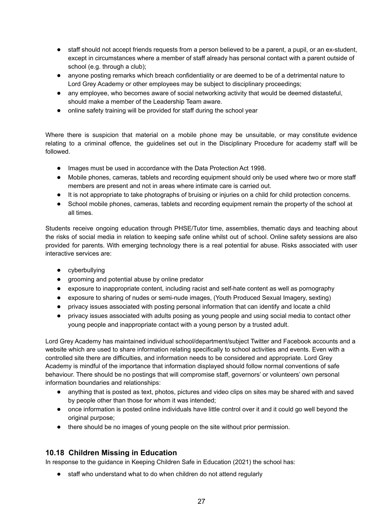- staff should not accept friends requests from a person believed to be a parent, a pupil, or an ex-student, except in circumstances where a member of staff already has personal contact with a parent outside of school (e.g. through a club);
- anyone posting remarks which breach confidentiality or are deemed to be of a detrimental nature to Lord Grey Academy or other employees may be subject to disciplinary proceedings;
- any employee, who becomes aware of social networking activity that would be deemed distasteful, should make a member of the Leadership Team aware.
- online safety training will be provided for staff during the school year

Where there is suspicion that material on a mobile phone may be unsuitable, or may constitute evidence relating to a criminal offence, the guidelines set out in the Disciplinary Procedure for academy staff will be followed.

- Images must be used in accordance with the Data Protection Act 1998.
- Mobile phones, cameras, tablets and recording equipment should only be used where two or more staff members are present and not in areas where intimate care is carried out.
- It is not appropriate to take photographs of bruising or injuries on a child for child protection concerns.
- School mobile phones, cameras, tablets and recording equipment remain the property of the school at all times.

Students receive ongoing education through PHSE/Tutor time, assemblies, thematic days and teaching about the risks of social media in relation to keeping safe online whilst out of school. Online safety sessions are also provided for parents. With emerging technology there is a real potential for abuse. Risks associated with user interactive services are:

- cyberbullying
- grooming and potential abuse by online predator
- exposure to inappropriate content, including racist and self-hate content as well as pornography
- exposure to sharing of nudes or semi-nude images, (Youth Produced Sexual Imagery, sexting)
- privacy issues associated with posting personal information that can identify and locate a child
- privacy issues associated with adults posing as young people and using social media to contact other young people and inappropriate contact with a young person by a trusted adult.

Lord Grey Academy has maintained individual school/department/subject Twitter and Facebook accounts and a website which are used to share information relating specifically to school activities and events. Even with a controlled site there are difficulties, and information needs to be considered and appropriate. Lord Grey Academy is mindful of the importance that information displayed should follow normal conventions of safe behaviour. There should be no postings that will compromise staff, governors' or volunteers' own personal information boundaries and relationships:

- anything that is posted as text, photos, pictures and video clips on sites may be shared with and saved by people other than those for whom it was intended;
- once information is posted online individuals have little control over it and it could go well beyond the original purpose:
- there should be no images of young people on the site without prior permission.

# **10.18 Children Missing in Education**

In response to the guidance in Keeping Children Safe in Education (2021) the school has:

● staff who understand what to do when children do not attend regularly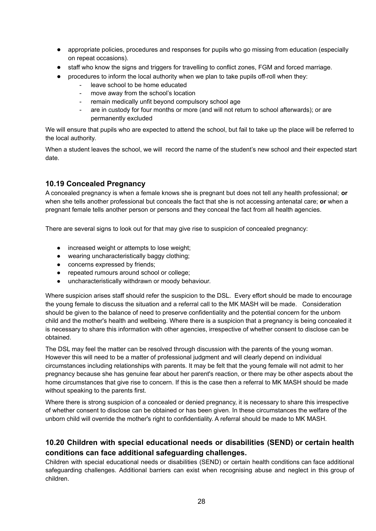- appropriate policies, procedures and responses for pupils who go missing from education (especially on repeat occasions).
- staff who know the signs and triggers for travelling to conflict zones, FGM and forced marriage.
	- procedures to inform the local authority when we plan to take pupils off-roll when they:
		- leave school to be home educated
		- move away from the school's location
		- remain medically unfit beyond compulsory school age
		- are in custody for four months or more (and will not return to school afterwards); or are permanently excluded

We will ensure that pupils who are expected to attend the school, but fail to take up the place will be referred to the local authority.

When a student leaves the school, we will record the name of the student's new school and their expected start date.

# **10.19 Concealed Pregnancy**

A concealed pregnancy is when a female knows she is pregnant but does not tell any health professional; **or** when she tells another professional but conceals the fact that she is not accessing antenatal care; **or** when a pregnant female tells another person or persons and they conceal the fact from all health agencies.

There are several signs to look out for that may give rise to suspicion of concealed pregnancy:

- increased weight or attempts to lose weight:
- wearing uncharacteristically baggy clothing;
- concerns expressed by friends;
- repeated rumours around school or college;
- uncharacteristically withdrawn or moody behaviour.

Where suspicion arises staff should refer the suspicion to the DSL. Every effort should be made to encourage the young female to discuss the situation and a referral call to the MK MASH will be made. Consideration should be given to the balance of need to preserve confidentiality and the potential concern for the unborn child and the mother's health and wellbeing. Where there is a suspicion that a pregnancy is being concealed it is necessary to share this information with other agencies, irrespective of whether consent to disclose can be obtained.

The DSL may feel the matter can be resolved through discussion with the parents of the young woman. However this will need to be a matter of professional judgment and will clearly depend on individual circumstances including relationships with parents. It may be felt that the young female will not admit to her pregnancy because she has genuine fear about her parent's reaction, or there may be other aspects about the home circumstances that give rise to concern. If this is the case then a referral to MK MASH should be made without speaking to the parents first.

Where there is strong suspicion of a concealed or denied pregnancy, it is necessary to share this irrespective of whether consent to disclose can be obtained or has been given. In these circumstances the welfare of the unborn child will override the mother's right to confidentiality. A referral should be made to MK MASH.

# **10.20 Children with special educational needs or disabilities (SEND) or certain health conditions can face additional safeguarding challenges.**

Children with special educational needs or disabilities (SEND) or certain health conditions can face additional safeguarding challenges. Additional barriers can exist when recognising abuse and neglect in this group of children.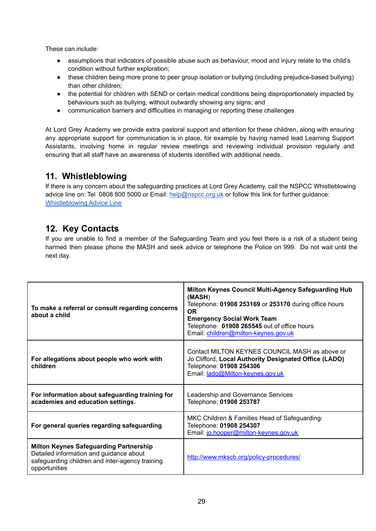These can include:

- assumptions that indicators of possible abuse such as behaviour, mood and injury relate to the child's condition without further exploration;
- these children being more prone to peer group isolation or bullying (including prejudice-based bullying) than other children;
- the potential for children with SEND or certain medical conditions being disproportionately impacted by behaviours such as bullying, without outwardly showing any signs; and
- communication barriers and difficulties in managing or reporting these challenges

At Lord Grey Academy we provide extra pastoral support and attention for these children, along with ensuring any appropriate support for communication is in place, for example by having named lead Learning Support Assistants, involving home in regular review meetings and reviewing individual provision regularly and ensuring that all staff have an awareness of students identified with additional needs.

# **11. Whistleblowing**

If there is any concern about the safeguarding practices at Lord Grey Academy, call the NSPCC Whistleblowing advice line on: Tel 0808 800 5000 or Email: help@nspcc.org.uk or follow this link for further guidance: [Whistleblowing](https://www.nspcc.org.uk/keeping-children-safe/reporting-abuse/dedicated-helplines/whistleblowing-advice-line/) Advice Line

# **12. Key Contacts**

If you are unable to find a member of the Safeguarding Team and you feel there is a risk of a student being harmed then please phone the MASH and seek advice or telephone the Police on 999. Do not wait until the next day.

| To make a referral or consult regarding concerns<br>about a child                                                                                            | Milton Keynes Council Multi-Agency Safeguarding Hub<br>(MASH)<br>Telephone: 01908 253169 or 253170 during office hours<br><b>OR</b><br><b>Emergency Social Work Team</b><br>Telephone: 01908 265545 out of office hours<br>Email: children@milton-keynes.gov.uk |
|--------------------------------------------------------------------------------------------------------------------------------------------------------------|-----------------------------------------------------------------------------------------------------------------------------------------------------------------------------------------------------------------------------------------------------------------|
| For allegations about people who work with<br>children                                                                                                       | Contact MILTON KEYNES COUNCIL MASH as above or<br>Jo Clifford, Local Authority Designated Office (LADO)<br>Telephone: 01908 254306<br>Email: lado@Milton-keynes.gov.uk                                                                                          |
| For information about safeguarding training for<br>academies and education settings.                                                                         | Leadership and Governance Services<br>Telephone: 01908 253787                                                                                                                                                                                                   |
| For general queries regarding safeguarding                                                                                                                   | MKC Children & Families Head of Safeguarding:<br>Telephone: 01908 254307<br>Email: jo.hooper@milton-keynes.gov.uk                                                                                                                                               |
| <b>Milton Keynes Safeguarding Partnership</b><br>Detailed information and guidance about<br>safeguarding children and inter-agency training<br>opportunities | http://www.mkscb.org/policy-procedures/                                                                                                                                                                                                                         |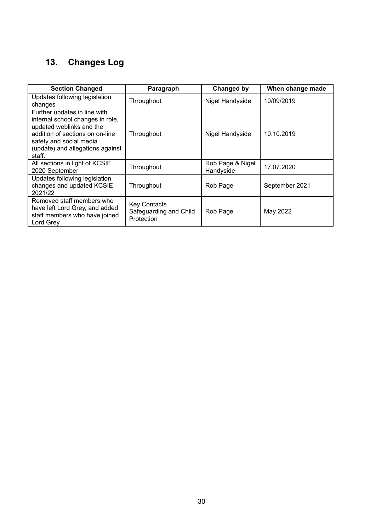# **13. Changes Log**

| <b>Section Changed</b>                                                                                                                                                                                   | Paragraph                                                   | Changed by                    | When change made |
|----------------------------------------------------------------------------------------------------------------------------------------------------------------------------------------------------------|-------------------------------------------------------------|-------------------------------|------------------|
| Updates following legislation<br>changes                                                                                                                                                                 | Throughout                                                  | Nigel Handyside               | 10/09/2019       |
| Further updates in line with<br>internal school changes in role,<br>updated weblinks and the<br>addition of sections on on-line<br>safety and social media<br>(update) and allegations against<br>staff. | Throughout                                                  | Nigel Handyside               | 10.10.2019       |
| All sections in light of KCSIE<br>2020 September                                                                                                                                                         | Throughout                                                  | Rob Page & Nigel<br>Handyside | 17.07.2020       |
| Updates following legislation<br>changes and updated KCSIE<br>2021/22                                                                                                                                    | Throughout                                                  | Rob Page                      | September 2021   |
| Removed staff members who<br>have left Lord Grey, and added<br>staff members who have joined<br>Lord Grey                                                                                                | <b>Key Contacts</b><br>Safeguarding and Child<br>Protection | Rob Page                      | May 2022         |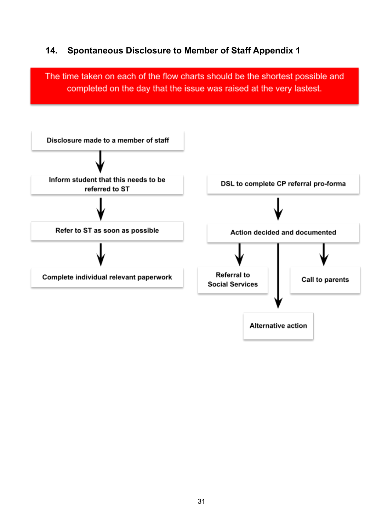# **14. Spontaneous Disclosure to Member of Staff Appendix 1**

The time taken on each of the flow charts should be the shortest possible and completed on the day that the issue was raised at the very lastest.

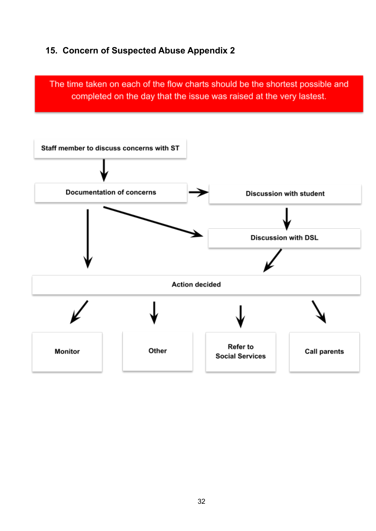# **15. Concern of Suspected Abuse Appendix 2**

The time taken on each of the flow charts should be the shortest possible and completed on the day that the issue was raised at the very lastest.